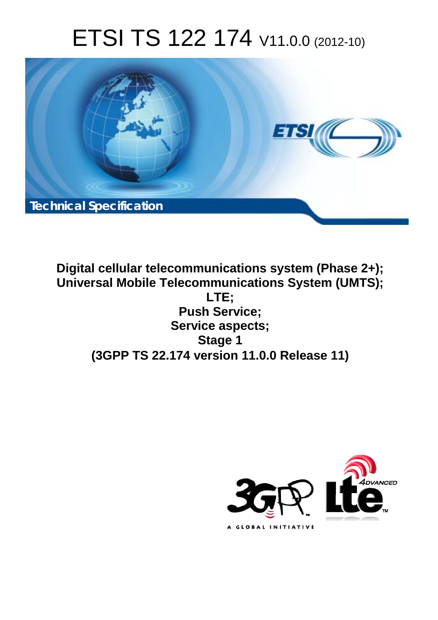# ETSI TS 122 174 V11.0.0 (2012-10)



**Digital cellular telecommunications system (Phase 2+); Universal Mobile Telecommunications System (UMTS); LTE; Push Service; Service aspects; Stage 1 (3GPP TS 22.174 version 11.0.0 Release 11)** 

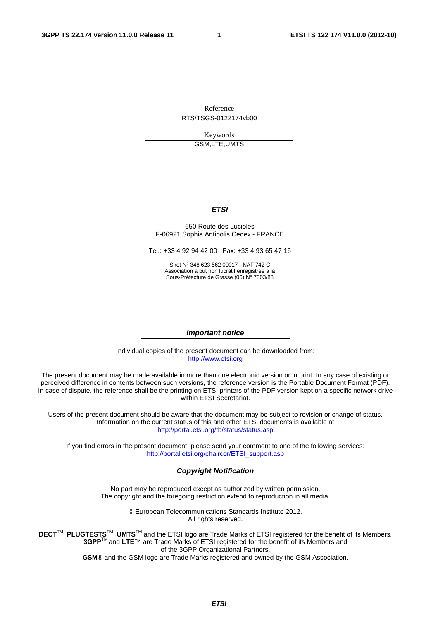Reference RTS/TSGS-0122174vb00

> Keywords GSM,LTE,UMTS

#### *ETSI*

#### 650 Route des Lucioles F-06921 Sophia Antipolis Cedex - FRANCE

Tel.: +33 4 92 94 42 00 Fax: +33 4 93 65 47 16

Siret N° 348 623 562 00017 - NAF 742 C Association à but non lucratif enregistrée à la Sous-Préfecture de Grasse (06) N° 7803/88

#### *Important notice*

Individual copies of the present document can be downloaded from: [http://www.etsi.org](http://www.etsi.org/)

The present document may be made available in more than one electronic version or in print. In any case of existing or perceived difference in contents between such versions, the reference version is the Portable Document Format (PDF). In case of dispute, the reference shall be the printing on ETSI printers of the PDF version kept on a specific network drive within ETSI Secretariat.

Users of the present document should be aware that the document may be subject to revision or change of status. Information on the current status of this and other ETSI documents is available at <http://portal.etsi.org/tb/status/status.asp>

If you find errors in the present document, please send your comment to one of the following services: [http://portal.etsi.org/chaircor/ETSI\\_support.asp](http://portal.etsi.org/chaircor/ETSI_support.asp)

#### *Copyright Notification*

No part may be reproduced except as authorized by written permission. The copyright and the foregoing restriction extend to reproduction in all media.

> © European Telecommunications Standards Institute 2012. All rights reserved.

**DECT**TM, **PLUGTESTS**TM, **UMTS**TM and the ETSI logo are Trade Marks of ETSI registered for the benefit of its Members. **3GPP**TM and **LTE**™ are Trade Marks of ETSI registered for the benefit of its Members and of the 3GPP Organizational Partners.

**GSM**® and the GSM logo are Trade Marks registered and owned by the GSM Association.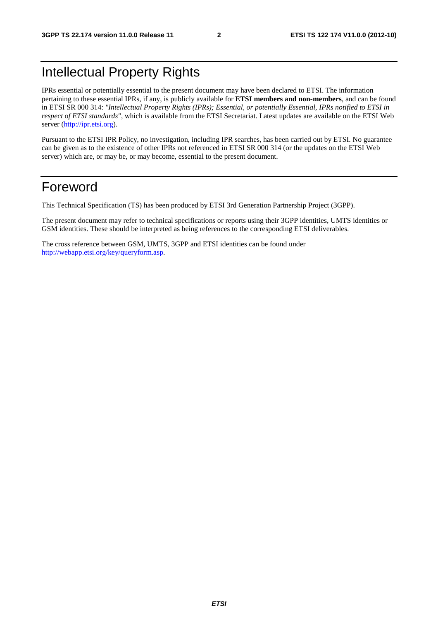#### Intellectual Property Rights

IPRs essential or potentially essential to the present document may have been declared to ETSI. The information pertaining to these essential IPRs, if any, is publicly available for **ETSI members and non-members**, and can be found in ETSI SR 000 314: *"Intellectual Property Rights (IPRs); Essential, or potentially Essential, IPRs notified to ETSI in respect of ETSI standards"*, which is available from the ETSI Secretariat. Latest updates are available on the ETSI Web server [\(http://ipr.etsi.org](http://webapp.etsi.org/IPR/home.asp)).

Pursuant to the ETSI IPR Policy, no investigation, including IPR searches, has been carried out by ETSI. No guarantee can be given as to the existence of other IPRs not referenced in ETSI SR 000 314 (or the updates on the ETSI Web server) which are, or may be, or may become, essential to the present document.

#### Foreword

This Technical Specification (TS) has been produced by ETSI 3rd Generation Partnership Project (3GPP).

The present document may refer to technical specifications or reports using their 3GPP identities, UMTS identities or GSM identities. These should be interpreted as being references to the corresponding ETSI deliverables.

The cross reference between GSM, UMTS, 3GPP and ETSI identities can be found under <http://webapp.etsi.org/key/queryform.asp>.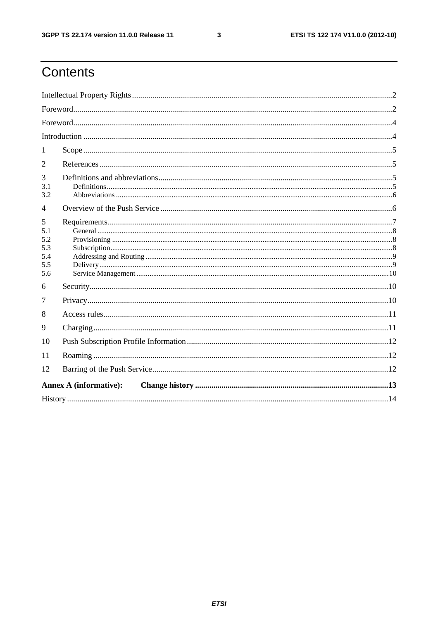$\mathbf{3}$ 

# Contents

| 1                                           |  |  |  |  |  |  |
|---------------------------------------------|--|--|--|--|--|--|
| 2                                           |  |  |  |  |  |  |
| 3<br>3.1<br>3.2                             |  |  |  |  |  |  |
| 4                                           |  |  |  |  |  |  |
| 5<br>5.1<br>5.2<br>5.3<br>5.4<br>5.5<br>5.6 |  |  |  |  |  |  |
| 6                                           |  |  |  |  |  |  |
| 7                                           |  |  |  |  |  |  |
| 8                                           |  |  |  |  |  |  |
| 9                                           |  |  |  |  |  |  |
| 10                                          |  |  |  |  |  |  |
| 11                                          |  |  |  |  |  |  |
| 12                                          |  |  |  |  |  |  |
| <b>Annex A (informative):</b>               |  |  |  |  |  |  |
|                                             |  |  |  |  |  |  |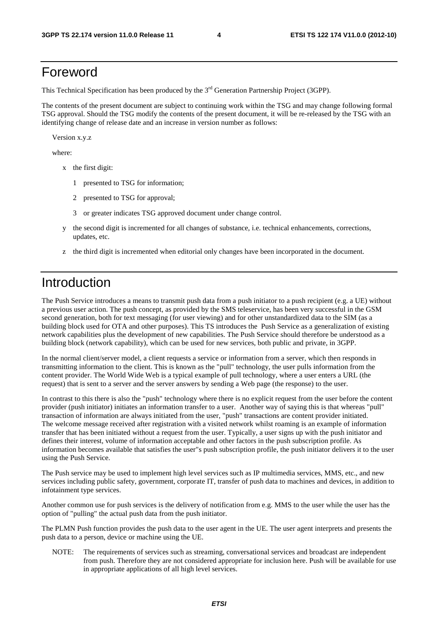#### Foreword

This Technical Specification has been produced by the 3<sup>rd</sup> Generation Partnership Project (3GPP).

The contents of the present document are subject to continuing work within the TSG and may change following formal TSG approval. Should the TSG modify the contents of the present document, it will be re-released by the TSG with an identifying change of release date and an increase in version number as follows:

Version x.y.z

where:

- x the first digit:
	- 1 presented to TSG for information;
	- 2 presented to TSG for approval;
	- 3 or greater indicates TSG approved document under change control.
- y the second digit is incremented for all changes of substance, i.e. technical enhancements, corrections, updates, etc.
- z the third digit is incremented when editorial only changes have been incorporated in the document.

#### Introduction

The Push Service introduces a means to transmit push data from a push initiator to a push recipient (e.g. a UE) without a previous user action. The push concept, as provided by the SMS teleservice, has been very successful in the GSM second generation, both for text messaging (for user viewing) and for other unstandardized data to the SIM (as a building block used for OTA and other purposes). This TS introduces the Push Service as a generalization of existing network capabilities plus the development of new capabilities. The Push Service should therefore be understood as a building block (network capability), which can be used for new services, both public and private, in 3GPP.

In the normal client/server model, a client requests a service or information from a server, which then responds in transmitting information to the client. This is known as the "pull" technology, the user pulls information from the content provider. The World Wide Web is a typical example of pull technology, where a user enters a URL (the request) that is sent to a server and the server answers by sending a Web page (the response) to the user.

In contrast to this there is also the "push" technology where there is no explicit request from the user before the content provider (push initiator) initiates an information transfer to a user. Another way of saying this is that whereas "pull" transaction of information are always initiated from the user, "push" transactions are content provider initiated. The welcome message received after registration with a visited network whilst roaming is an example of information transfer that has been initiated without a request from the user. Typically, a user signs up with the push initiator and defines their interest, volume of information acceptable and other factors in the push subscription profile. As information becomes available that satisfies the user"s push subscription profile, the push initiator delivers it to the user using the Push Service.

The Push service may be used to implement high level services such as IP multimedia services, MMS, etc., and new services including public safety, government, corporate IT, transfer of push data to machines and devices, in addition to infotainment type services.

Another common use for push services is the delivery of notification from e.g. MMS to the user while the user has the option of "pulling" the actual push data from the push initiator.

The PLMN Push function provides the push data to the user agent in the UE. The user agent interprets and presents the push data to a person, device or machine using the UE.

NOTE: The requirements of services such as streaming, conversational services and broadcast are independent from push. Therefore they are not considered appropriate for inclusion here. Push will be available for use in appropriate applications of all high level services.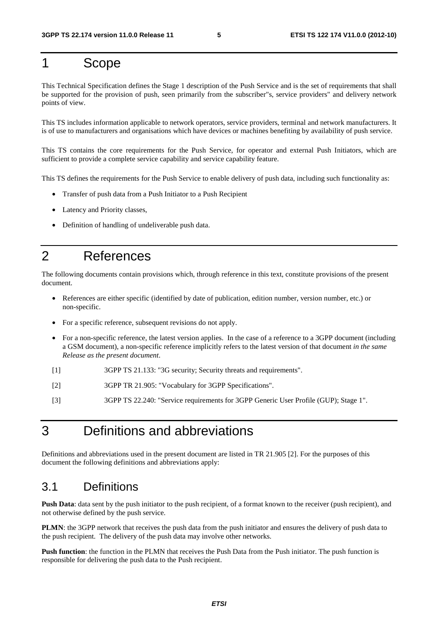#### 1 Scope

This Technical Specification defines the Stage 1 description of the Push Service and is the set of requirements that shall be supported for the provision of push, seen primarily from the subscriber"s, service providers" and delivery network points of view.

This TS includes information applicable to network operators, service providers, terminal and network manufacturers. It is of use to manufacturers and organisations which have devices or machines benefiting by availability of push service.

This TS contains the core requirements for the Push Service, for operator and external Push Initiators, which are sufficient to provide a complete service capability and service capability feature.

This TS defines the requirements for the Push Service to enable delivery of push data, including such functionality as:

- Transfer of push data from a Push Initiator to a Push Recipient
- Latency and Priority classes,
- Definition of handling of undeliverable push data.

#### 2 References

The following documents contain provisions which, through reference in this text, constitute provisions of the present document.

- References are either specific (identified by date of publication, edition number, version number, etc.) or non-specific.
- For a specific reference, subsequent revisions do not apply.
- For a non-specific reference, the latest version applies. In the case of a reference to a 3GPP document (including a GSM document), a non-specific reference implicitly refers to the latest version of that document *in the same Release as the present document*.
- [1] 3GPP TS 21.133: "3G security; Security threats and requirements".
- [2] 3GPP TR 21.905: "Vocabulary for 3GPP Specifications".
- [3] 3GPP TS 22.240: "Service requirements for 3GPP Generic User Profile (GUP); Stage 1".

#### 3 Definitions and abbreviations

Definitions and abbreviations used in the present document are listed in TR 21.905 [2]. For the purposes of this document the following definitions and abbreviations apply:

#### 3.1 Definitions

**Push Data**: data sent by the push initiator to the push recipient, of a format known to the receiver (push recipient), and not otherwise defined by the push service.

**PLMN**: the 3GPP network that receives the push data from the push initiator and ensures the delivery of push data to the push recipient. The delivery of the push data may involve other networks.

**Push function**: the function in the PLMN that receives the Push Data from the Push initiator. The push function is responsible for delivering the push data to the Push recipient.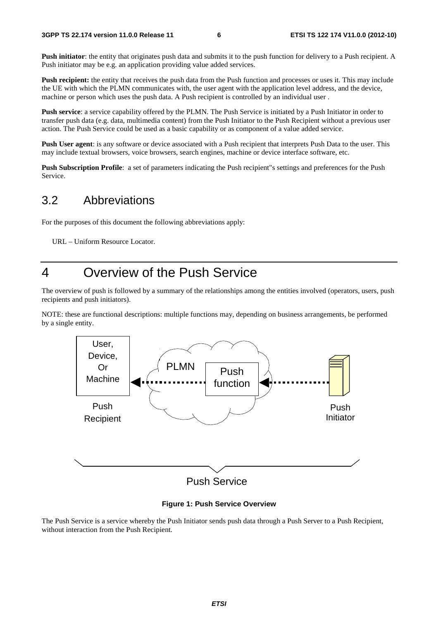Push initiator: the entity that originates push data and submits it to the push function for delivery to a Push recipient. A Push initiator may be e.g. an application providing value added services.

**Push recipient:** the entity that receives the push data from the Push function and processes or uses it. This may include the UE with which the PLMN communicates with, the user agent with the application level address, and the device, machine or person which uses the push data. A Push recipient is controlled by an individual user .

**Push service**: a service capability offered by the PLMN. The Push Service is initiated by a Push Initiator in order to transfer push data (e.g. data, multimedia content) from the Push Initiator to the Push Recipient without a previous user action. The Push Service could be used as a basic capability or as component of a value added service.

**Push User agent**: is any software or device associated with a Push recipient that interprets Push Data to the user. This may include textual browsers, voice browsers, search engines, machine or device interface software, etc.

**Push Subscription Profile**: a set of parameters indicating the Push recipient"s settings and preferences for the Push Service.

#### 3.2 Abbreviations

For the purposes of this document the following abbreviations apply:

URL – Uniform Resource Locator.

#### 4 Overview of the Push Service

The overview of push is followed by a summary of the relationships among the entities involved (operators, users, push recipients and push initiators).

NOTE: these are functional descriptions: multiple functions may, depending on business arrangements, be performed by a single entity.



**Figure 1: Push Service Overview** 

The Push Service is a service whereby the Push Initiator sends push data through a Push Server to a Push Recipient, without interaction from the Push Recipient.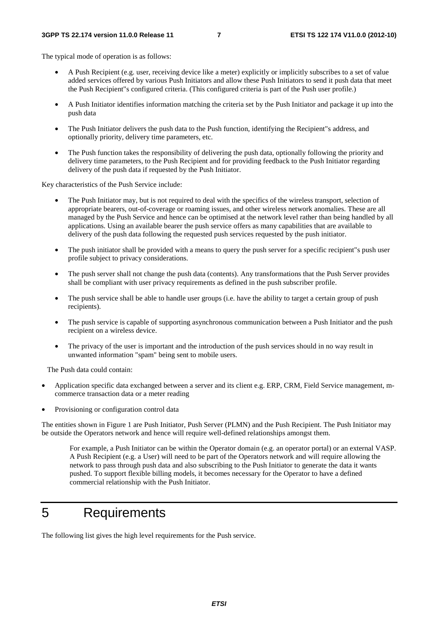The typical mode of operation is as follows:

- A Push Recipient (e.g. user, receiving device like a meter) explicitly or implicitly subscribes to a set of value added services offered by various Push Initiators and allow these Push Initiators to send it push data that meet the Push Recipient"s configured criteria. (This configured criteria is part of the Push user profile.)
- A Push Initiator identifies information matching the criteria set by the Push Initiator and package it up into the push data
- The Push Initiator delivers the push data to the Push function, identifying the Recipient"s address, and optionally priority, delivery time parameters, etc.
- The Push function takes the responsibility of delivering the push data, optionally following the priority and delivery time parameters, to the Push Recipient and for providing feedback to the Push Initiator regarding delivery of the push data if requested by the Push Initiator.

Key characteristics of the Push Service include:

- The Push Initiator may, but is not required to deal with the specifics of the wireless transport, selection of appropriate bearers, out-of-coverage or roaming issues, and other wireless network anomalies. These are all managed by the Push Service and hence can be optimised at the network level rather than being handled by all applications. Using an available bearer the push service offers as many capabilities that are available to delivery of the push data following the requested push services requested by the push initiator.
- The push initiator shall be provided with a means to query the push server for a specific recipient"s push user profile subject to privacy considerations.
- The push server shall not change the push data (contents). Any transformations that the Push Server provides shall be compliant with user privacy requirements as defined in the push subscriber profile.
- The push service shall be able to handle user groups (i.e. have the ability to target a certain group of push recipients).
- The push service is capable of supporting asynchronous communication between a Push Initiator and the push recipient on a wireless device.
- The privacy of the user is important and the introduction of the push services should in no way result in unwanted information "spam" being sent to mobile users.

The Push data could contain:

- Application specific data exchanged between a server and its client e.g. ERP, CRM, Field Service management, mcommerce transaction data or a meter reading
- Provisioning or configuration control data

The entities shown in Figure 1 are Push Initiator, Push Server (PLMN) and the Push Recipient. The Push Initiator may be outside the Operators network and hence will require well-defined relationships amongst them.

For example, a Push Initiator can be within the Operator domain (e.g. an operator portal) or an external VASP. A Push Recipient (e.g. a User) will need to be part of the Operators network and will require allowing the network to pass through push data and also subscribing to the Push Initiator to generate the data it wants pushed. To support flexible billing models, it becomes necessary for the Operator to have a defined commercial relationship with the Push Initiator.

#### 5 Requirements

The following list gives the high level requirements for the Push service.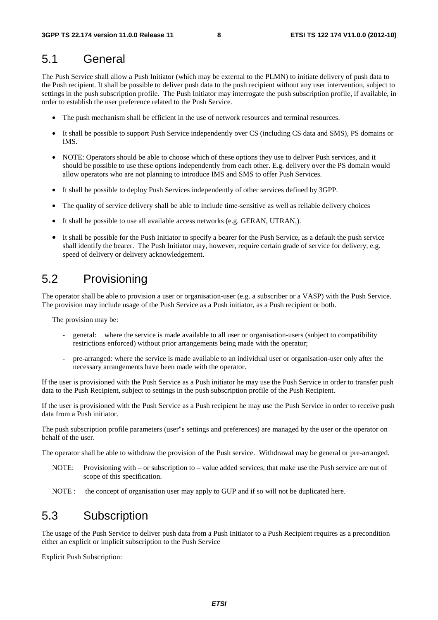#### 5.1 General

The Push Service shall allow a Push Initiator (which may be external to the PLMN) to initiate delivery of push data to the Push recipient. It shall be possible to deliver push data to the push recipient without any user intervention, subject to settings in the push subscription profile. The Push Initiator may interrogate the push subscription profile, if available, in order to establish the user preference related to the Push Service.

- The push mechanism shall be efficient in the use of network resources and terminal resources.
- It shall be possible to support Push Service independently over CS (including CS data and SMS), PS domains or IMS.
- NOTE: Operators should be able to choose which of these options they use to deliver Push services, and it should be possible to use these options independently from each other. E.g. delivery over the PS domain would allow operators who are not planning to introduce IMS and SMS to offer Push Services.
- It shall be possible to deploy Push Services independently of other services defined by 3GPP.
- The quality of service delivery shall be able to include time-sensitive as well as reliable delivery choices
- It shall be possible to use all available access networks (e.g. GERAN, UTRAN,).
- It shall be possible for the Push Initiator to specify a bearer for the Push Service, as a default the push service shall identify the bearer. The Push Initiator may, however, require certain grade of service for delivery, e.g. speed of delivery or delivery acknowledgement.

#### 5.2 Provisioning

The operator shall be able to provision a user or organisation-user (e.g. a subscriber or a VASP) with the Push Service. The provision may include usage of the Push Service as a Push initiator, as a Push recipient or both.

The provision may be:

- general: where the service is made available to all user or organisation-users (subject to compatibility restrictions enforced) without prior arrangements being made with the operator;
- pre-arranged: where the service is made available to an individual user or organisation-user only after the necessary arrangements have been made with the operator.

If the user is provisioned with the Push Service as a Push initiator he may use the Push Service in order to transfer push data to the Push Recipient, subject to settings in the push subscription profile of the Push Recipient.

If the user is provisioned with the Push Service as a Push recipient he may use the Push Service in order to receive push data from a Push initiator.

The push subscription profile parameters (user"s settings and preferences) are managed by the user or the operator on behalf of the user.

The operator shall be able to withdraw the provision of the Push service. Withdrawal may be general or pre-arranged.

- NOTE: Provisioning with or subscription to value added services, that make use the Push service are out of scope of this specification.
- NOTE : the concept of organisation user may apply to GUP and if so will not be duplicated here.

#### 5.3 Subscription

The usage of the Push Service to deliver push data from a Push Initiator to a Push Recipient requires as a precondition either an explicit or implicit subscription to the Push Service

Explicit Push Subscription: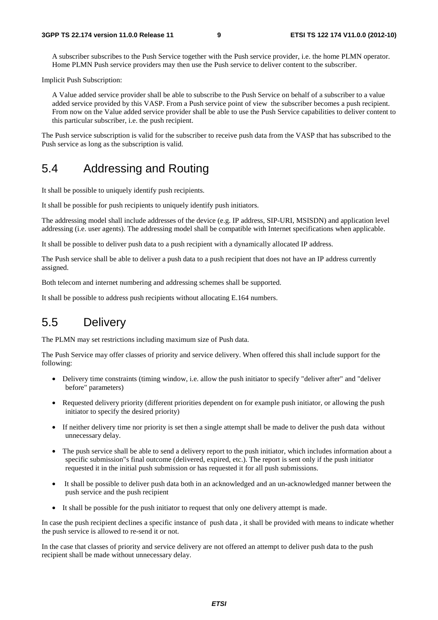A subscriber subscribes to the Push Service together with the Push service provider, i.e. the home PLMN operator. Home PLMN Push service providers may then use the Push service to deliver content to the subscriber.

Implicit Push Subscription:

A Value added service provider shall be able to subscribe to the Push Service on behalf of a subscriber to a value added service provided by this VASP. From a Push service point of view the subscriber becomes a push recipient. From now on the Value added service provider shall be able to use the Push Service capabilities to deliver content to this particular subscriber, i.e. the push recipient.

The Push service subscription is valid for the subscriber to receive push data from the VASP that has subscribed to the Push service as long as the subscription is valid.

#### 5.4 Addressing and Routing

It shall be possible to uniquely identify push recipients.

It shall be possible for push recipients to uniquely identify push initiators.

The addressing model shall include addresses of the device (e.g. IP address, SIP-URI, MSISDN) and application level addressing (i.e. user agents). The addressing model shall be compatible with Internet specifications when applicable.

It shall be possible to deliver push data to a push recipient with a dynamically allocated IP address.

The Push service shall be able to deliver a push data to a push recipient that does not have an IP address currently assigned.

Both telecom and internet numbering and addressing schemes shall be supported.

It shall be possible to address push recipients without allocating E.164 numbers.

#### 5.5 Delivery

The PLMN may set restrictions including maximum size of Push data.

The Push Service may offer classes of priority and service delivery. When offered this shall include support for the following:

- Delivery time constraints (timing window, i.e. allow the push initiator to specify "deliver after" and "deliver before" parameters)
- Requested delivery priority (different priorities dependent on for example push initiator, or allowing the push initiator to specify the desired priority)
- If neither delivery time nor priority is set then a single attempt shall be made to deliver the push data without unnecessary delay.
- The push service shall be able to send a delivery report to the push initiator, which includes information about a specific submission"s final outcome (delivered, expired, etc.). The report is sent only if the push initiator requested it in the initial push submission or has requested it for all push submissions.
- It shall be possible to deliver push data both in an acknowledged and an un-acknowledged manner between the push service and the push recipient
- It shall be possible for the push initiator to request that only one delivery attempt is made.

In case the push recipient declines a specific instance of push data , it shall be provided with means to indicate whether the push service is allowed to re-send it or not.

In the case that classes of priority and service delivery are not offered an attempt to deliver push data to the push recipient shall be made without unnecessary delay.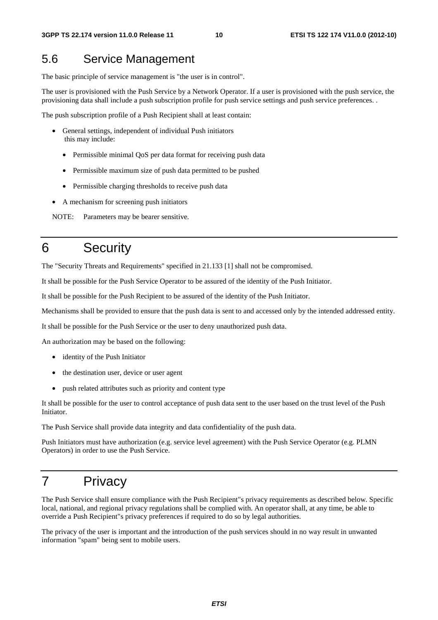#### 5.6 Service Management

The basic principle of service management is "the user is in control".

The user is provisioned with the Push Service by a Network Operator. If a user is provisioned with the push service, the provisioning data shall include a push subscription profile for push service settings and push service preferences. .

The push subscription profile of a Push Recipient shall at least contain:

- General settings, independent of individual Push initiators this may include:
	- Permissible minimal QoS per data format for receiving push data
	- Permissible maximum size of push data permitted to be pushed
	- Permissible charging thresholds to receive push data
- A mechanism for screening push initiators

NOTE: Parameters may be bearer sensitive.

#### 6 Security

The "Security Threats and Requirements" specified in 21.133 [1] shall not be compromised.

It shall be possible for the Push Service Operator to be assured of the identity of the Push Initiator.

It shall be possible for the Push Recipient to be assured of the identity of the Push Initiator.

Mechanisms shall be provided to ensure that the push data is sent to and accessed only by the intended addressed entity.

It shall be possible for the Push Service or the user to deny unauthorized push data.

An authorization may be based on the following:

- identity of the Push Initiator
- the destination user, device or user agent
- push related attributes such as priority and content type

It shall be possible for the user to control acceptance of push data sent to the user based on the trust level of the Push Initiator.

The Push Service shall provide data integrity and data confidentiality of the push data.

Push Initiators must have authorization (e.g. service level agreement) with the Push Service Operator (e.g. PLMN Operators) in order to use the Push Service.

#### 7 Privacy

The Push Service shall ensure compliance with the Push Recipient"s privacy requirements as described below. Specific local, national, and regional privacy regulations shall be complied with. An operator shall, at any time, be able to override a Push Recipient"s privacy preferences if required to do so by legal authorities.

The privacy of the user is important and the introduction of the push services should in no way result in unwanted information "spam" being sent to mobile users.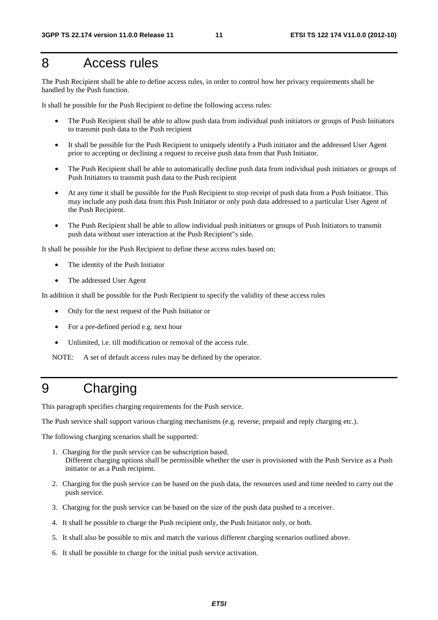#### 8 Access rules

The Push Recipient shall be able to define access rules, in order to control how her privacy requirements shall be handled by the Push function.

It shall be possible for the Push Recipient to define the following access rules:

- The Push Recipient shall be able to allow push data from individual push initiators or groups of Push Initiators to transmit push data to the Push recipient
- It shall be possible for the Push Recipient to uniquely identify a Push initiator and the addressed User Agent prior to accepting or declining a request to receive push data from that Push Initiator.
- The Push Recipient shall be able to automatically decline push data from individual push initiators or groups of Push Initiators to transmit push data to the Push recipient
- At any time it shall be possible for the Push Recipient to stop receipt of push data from a Push Initiator. This may include any push data from this Push Initiator or only push data addressed to a particular User Agent of the Push Recipient.
- The Push Recipient shall be able to allow individual push initiators or groups of Push Initiators to transmit push data without user interaction at the Push Recipient"s side.

It shall be possible for the Push Recipient to define these access rules based on:

- The identity of the Push Initiator
- The addressed User Agent

In addition it shall be possible for the Push Recipient to specify the validity of these access rules

- Only for the next request of the Push Initiator or
- For a pre-defined period e.g. next hour
- Unlimited, i.e. till modification or removal of the access rule.

NOTE: A set of default access rules may be defined by the operator.

### 9 Charging

This paragraph specifies charging requirements for the Push service.

The Push service shall support various charging mechanisms (e.g. reverse, prepaid and reply charging etc.).

The following charging scenarios shall be supported:

- 1. Charging for the push service can be subscription based. Different charging options shall be permissible whether the user is provisioned with the Push Service as a Push initiator or as a Push recipient.
- 2. Charging for the push service can be based on the push data, the resources used and time needed to carry out the push service.
- 3. Charging for the push service can be based on the size of the push data pushed to a receiver.
- 4. It shall be possible to charge the Push recipient only, the Push Initiator only, or both.
- 5. It shall also be possible to mix and match the various different charging scenarios outlined above.
- 6. It shall be possible to charge for the initial push service activation.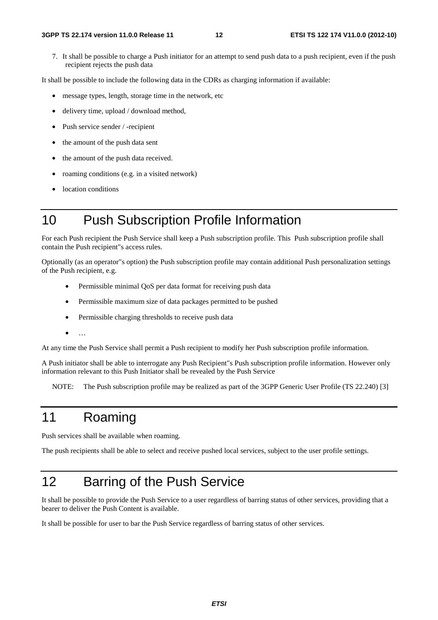7. It shall be possible to charge a Push initiator for an attempt to send push data to a push recipient, even if the push recipient rejects the push data

It shall be possible to include the following data in the CDRs as charging information if available:

- message types, length, storage time in the network, etc
- delivery time, upload / download method,
- Push service sender / -recipient
- the amount of the push data sent
- the amount of the push data received.
- roaming conditions (e.g. in a visited network)
- location conditions

#### 10 Push Subscription Profile Information

For each Push recipient the Push Service shall keep a Push subscription profile. This Push subscription profile shall contain the Push recipient"s access rules.

Optionally (as an operator"s option) the Push subscription profile may contain additional Push personalization settings of the Push recipient, e.g.

- Permissible minimal QoS per data format for receiving push data
- Permissible maximum size of data packages permitted to be pushed
- Permissible charging thresholds to receive push data
- $\mathbb{R}^+$

At any time the Push Service shall permit a Push recipient to modify her Push subscription profile information.

A Push initiator shall be able to interrogate any Push Recipient"s Push subscription profile information. However only information relevant to this Push Initiator shall be revealed by the Push Service

NOTE: The Push subscription profile may be realized as part of the 3GPP Generic User Profile (TS 22.240) [3]

#### 11 Roaming

Push services shall be available when roaming.

The push recipients shall be able to select and receive pushed local services, subject to the user profile settings.

# 12 Barring of the Push Service

It shall be possible to provide the Push Service to a user regardless of barring status of other services, providing that a bearer to deliver the Push Content is available.

It shall be possible for user to bar the Push Service regardless of barring status of other services.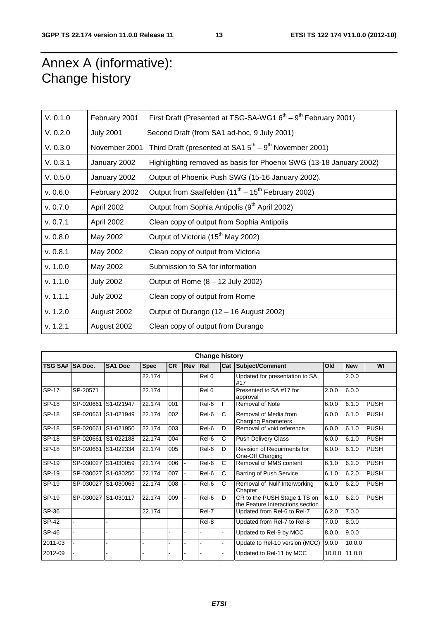# Annex A (informative): Change history

| V. 0.1.0 | February 2001    | First Draft (Presented at TSG-SA-WG1 $6^{\text{th}} - 9^{\text{th}}$ February 2001) |
|----------|------------------|-------------------------------------------------------------------------------------|
| V. 0.2.0 | <b>July 2001</b> | Second Draft (from SA1 ad-hoc, 9 July 2001)                                         |
| V. 0.3.0 | November 2001    | Third Draft (presented at SA1 $5^{\text{th}} - 9^{\text{th}}$ November 2001)        |
| V. 0.3.1 | January 2002     | Highlighting removed as basis for Phoenix SWG (13-18 January 2002)                  |
| V. 0.5.0 | January 2002     | Output of Phoenix Push SWG (15-16 January 2002).                                    |
| v. 0.6.0 | February 2002    | Output from Saalfelden (11 <sup>th</sup> – 15 <sup>th</sup> February 2002)          |
| v. 0.7.0 | April 2002       | Output from Sophia Antipolis (9 <sup>th</sup> April 2002)                           |
| v. 0.7.1 | April 2002       | Clean copy of output from Sophia Antipolis                                          |
| v. 0.8.0 | May 2002         | Output of Victoria (15 <sup>th</sup> May 2002)                                      |
| v. 0.8.1 | May 2002         | Clean copy of output from Victoria                                                  |
| v. 1.0.0 | May 2002         | Submission to SA for information                                                    |
| v. 1.1.0 | <b>July 2002</b> | Output of Rome $(8 - 12$ July 2002)                                                 |
| v. 1.1.1 | <b>July 2002</b> | Clean copy of output from Rome                                                      |
| v. 1.2.0 | August 2002      | Output of Durango (12 - 16 August 2002)                                             |
| v. 1.2.1 | August 2002      | Clean copy of output from Durango                                                   |

| <b>Change history</b> |                     |                |             |           |                |       |                |                                                                  |        |            |             |
|-----------------------|---------------------|----------------|-------------|-----------|----------------|-------|----------------|------------------------------------------------------------------|--------|------------|-------------|
| TSG SA# SA Doc.       |                     | <b>SA1 Doc</b> | <b>Spec</b> | <b>CR</b> | <b>Rev Rel</b> |       | Cat            | Subject/Comment                                                  | Old    | <b>New</b> | WI          |
|                       |                     |                | 22.174      |           |                | Rel 6 |                | Updated for presentation to SA<br>#17                            |        | 2.0.0      |             |
| SP-17                 | SP-20571            |                | 22.174      |           |                | Rel 6 |                | Presented to SA #17 for<br>approval                              | 2.0.0  | 6.0.0      |             |
| $SP-18$               | SP-020661 S1-021947 |                | 22.174      | 001       |                | Rel-6 | $\overline{F}$ | Removal of Note                                                  | 6.0.0  | 6.1.0      | <b>PUSH</b> |
| SP-18                 | SP-020661 S1-021949 |                | 22.174      | 002       |                | Rel-6 | C              | Removal of Media from<br><b>Charging Parameters</b>              | 6.0.0  | 6.1.0      | <b>PUSH</b> |
| $SP-18$               | SP-020661 S1-021950 |                | 22.174      | 003       |                | Rel-6 | D              | Removal of void reference                                        | 6.0.0  | 6.1.0      | <b>PUSH</b> |
| SP-18                 | SP-020661 S1-022188 |                | 22.174      | 004       |                | Rel-6 | C              | <b>Push Delivery Class</b>                                       | 6.0.0  | 6.1.0      | <b>PUSH</b> |
| <b>SP-18</b>          | SP-020661 S1-022334 |                | 22.174      | 005       |                | Rel-6 | D              | Revision of Requirments for<br>One-Off Charging                  | 6.0.0  | 6.1.0      | <b>PUSH</b> |
| SP-19                 | SP-030027           | S1-030059      | 22.174      | 006       |                | Rel-6 | C              | Removal of MMS content                                           | 6.1.0  | 6.2.0      | <b>PUSH</b> |
| SP-19                 | SP-030027 S1-030250 |                | 22.174      | 007       |                | Rel-6 | C              | Barring of Push Service                                          | 6.1.0  | 6.2.0      | <b>PUSH</b> |
| $SP-19$               | SP-030027 S1-030063 |                | 22.174      | 008       |                | Rel-6 | C              | Removal of 'Null' Interworking<br>Chapter                        | 6.1.0  | 6.2.0      | <b>PUSH</b> |
| SP-19                 | SP-030027 S1-030117 |                | 22.174      | 009       |                | Rel-6 | D              | CR to the PUSH Stage 1 TS on<br>the Feature Interactions section | 6.1.0  | 6.2.0      | <b>PUSH</b> |
| SP-36                 |                     |                | 22.174      |           |                | Rel-7 |                | Updated from Rel-6 to Rel-7                                      | 6.2.0  | 7.0.0      |             |
| <b>SP-42</b>          |                     |                |             |           |                | Rel-8 |                | Updated from Rel-7 to Rel-8                                      | 7.0.0  | 8.0.0      |             |
| SP-46                 |                     |                |             |           |                |       | ÷.             | Updated to Rel-9 by MCC                                          | 8.0.0  | 9.0.0      |             |
| 2011-03               |                     |                |             |           |                |       | ä,             | Update to Rel-10 version (MCC)                                   | 9.0.0  | 10.0.0     |             |
| 2012-09               |                     |                |             |           |                |       | L.             | Updated to Rel-11 by MCC                                         | 10.0.0 | 11.0.0     |             |